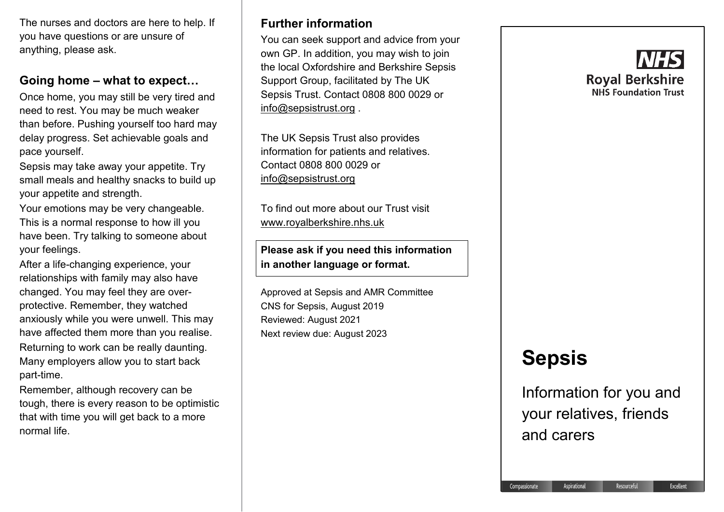The nurses and doctors are here to help. If you have questions or are unsure of anything, please ask.

### **Going home – what to expect…**

Once home, you may still be very tired and need to rest. You may be much weaker than before. Pushing yourself too hard may delay progress. Set achievable goals and pace yourself.

Sepsis may take away your appetite. Try small meals and healthy snacks to build up your appetite and strength.

Your emotions may be very changeable. This is a normal response to how ill you have been. Try talking to someone about your feelings.

After a life-changing experience, your relationships with family may also have changed. You may feel they are overprotective. Remember, they watched anxiously while you were unwell. This may have affected them more than you realise. Returning to work can be really daunting. Many employers allow you to start back part-time.

Remember, although recovery can be tough, there is every reason to be optimistic that with time you will get back to a more normal life.

# **Further information**

You can seek support and advice from your own GP. In addition, you may wish to join the local Oxfordshire and Berkshire Sepsis Support Group, facilitated by The UK Sepsis Trust. Contact 0808 800 0029 or [info@sepsistrust.org](mailto:info@sepsistrust.org) .

The UK Sepsis Trust also provides information for patients and relatives. Contact 0808 800 0029 or [info@sepsistrust.org](mailto:info@sepsistrust.org)

To find out more about our Trust visit [www.royalberkshire.nhs.uk](http://www.royalberkshire.nhs.uk/)

**Please ask if you need this information in another language or format.**

Approved at Sepsis and AMR Committee CNS for Sepsis, August 2019 Reviewed: August 2021 Next review due: August 2023

# **Roval Berkshire NHS Foundation Trust**

# **Sepsis**

Information for you and your relatives, friends and carers